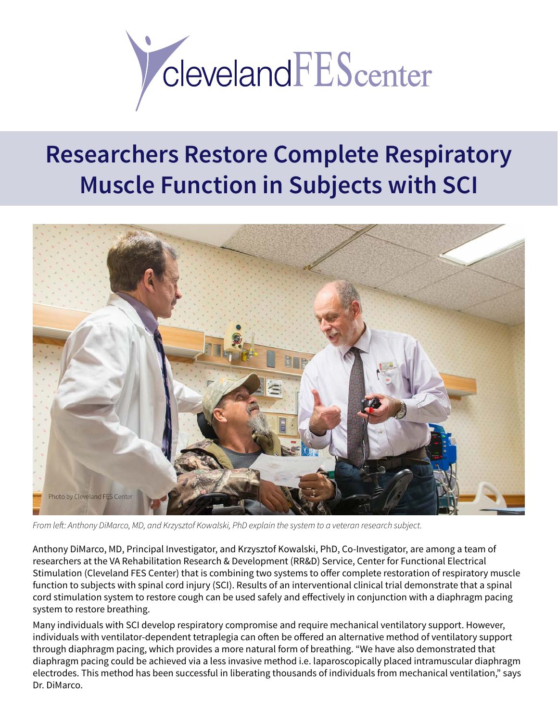

## **Researchers Restore Complete Respiratory Muscle Function in Subjects with SCI**



*From left: Anthony DiMarco, MD, and Krzysztof Kowalski, PhD explain the system to a veteran research subject.*

Anthony DiMarco, MD, Principal Investigator, and Krzysztof Kowalski, PhD, Co-Investigator, are among a team of researchers at the VA Rehabilitation Research & Development (RR&D) Service, Center for Functional Electrical Stimulation (Cleveland FES Center) that is combining two systems to offer complete restoration of respiratory muscle function to subjects with spinal cord injury (SCI). Results of an interventional clinical trial demonstrate that a spinal cord stimulation system to restore cough can be used safely and effectively in conjunction with a diaphragm pacing system to restore breathing.

Many individuals with SCI develop respiratory compromise and require mechanical ventilatory support. However, individuals with ventilator-dependent tetraplegia can often be offered an alternative method of ventilatory support through diaphragm pacing, which provides a more natural form of breathing. "We have also demonstrated that diaphragm pacing could be achieved via a less invasive method i.e. laparoscopically placed intramuscular diaphragm electrodes. This method has been successful in liberating thousands of individuals from mechanical ventilation," says Dr. DiMarco.